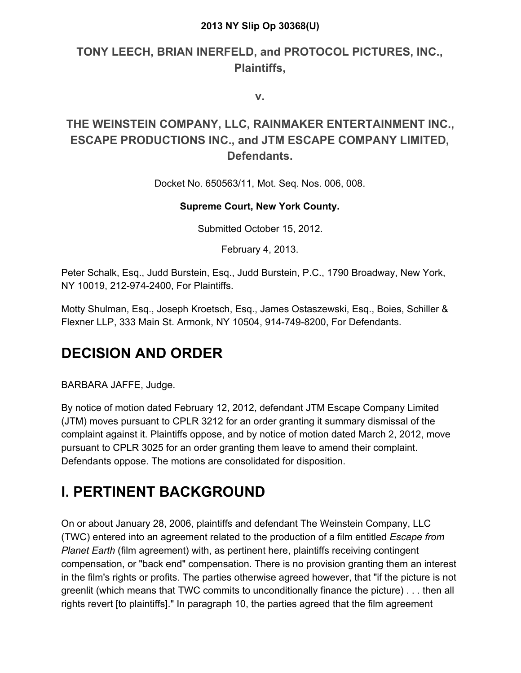#### **2013 NY Slip Op 30368(U)**

#### **TONY LEECH, BRIAN INERFELD, and PROTOCOL PICTURES, INC., Plaintiffs,**

**v.**

#### **THE WEINSTEIN COMPANY, LLC, RAINMAKER ENTERTAINMENT INC., ESCAPE PRODUCTIONS INC., and JTM ESCAPE COMPANY LIMITED, Defendants.**

Docket No. 650563/11, Mot. Seq. Nos. 006, 008.

#### **Supreme Court, New York County.**

Submitted October 15, 2012.

February 4, 2013.

Peter Schalk, Esq., Judd Burstein, Esq., Judd Burstein, P.C., 1790 Broadway, New York, NY 10019, 212-974-2400, For Plaintiffs.

Motty Shulman, Esq., Joseph Kroetsch, Esq., James Ostaszewski, Esq., Boies, Schiller & Flexner LLP, 333 Main St. Armonk, NY 10504, 914-749-8200, For Defendants.

# **DECISION AND ORDER**

BARBARA JAFFE, Judge.

By notice of motion dated February 12, 2012, defendant JTM Escape Company Limited (JTM) moves pursuant to CPLR 3212 for an order granting it summary dismissal of the complaint against it. Plaintiffs oppose, and by notice of motion dated March 2, 2012, move pursuant to CPLR 3025 for an order granting them leave to amend their complaint. Defendants oppose. The motions are consolidated for disposition.

## **I. PERTINENT BACKGROUND**

On or about January 28, 2006, plaintiffs and defendant The Weinstein Company, LLC (TWC) entered into an agreement related to the production of a film entitled *Escape from Planet Earth* (film agreement) with, as pertinent here, plaintiffs receiving contingent compensation, or "back end" compensation. There is no provision granting them an interest in the film's rights or profits. The parties otherwise agreed however, that "if the picture is not greenlit (which means that TWC commits to unconditionally finance the picture) . . . then all rights revert [to plaintiffs]." In paragraph 10, the parties agreed that the film agreement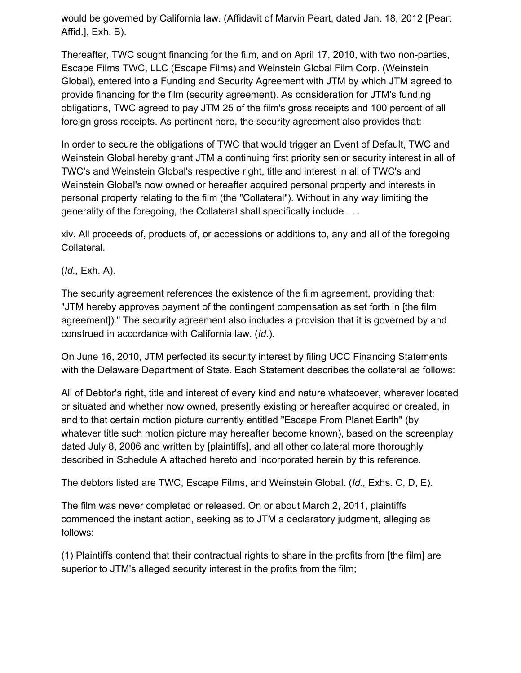would be governed by California law. (Affidavit of Marvin Peart, dated Jan. 18, 2012 [Peart Affid.], Exh. B).

Thereafter, TWC sought financing for the film, and on April 17, 2010, with two non-parties, Escape Films TWC, LLC (Escape Films) and Weinstein Global Film Corp. (Weinstein Global), entered into a Funding and Security Agreement with JTM by which JTM agreed to provide financing for the film (security agreement). As consideration for JTM's funding obligations, TWC agreed to pay JTM 25 of the film's gross receipts and 100 percent of all foreign gross receipts. As pertinent here, the security agreement also provides that:

In order to secure the obligations of TWC that would trigger an Event of Default, TWC and Weinstein Global hereby grant JTM a continuing first priority senior security interest in all of TWC's and Weinstein Global's respective right, title and interest in all of TWC's and Weinstein Global's now owned or hereafter acquired personal property and interests in personal property relating to the film (the "Collateral"). Without in any way limiting the generality of the foregoing, the Collateral shall specifically include . . .

xiv. All proceeds of, products of, or accessions or additions to, any and all of the foregoing Collateral.

(*Id.,* Exh. A).

The security agreement references the existence of the film agreement, providing that: "JTM hereby approves payment of the contingent compensation as set forth in [the film agreement])." The security agreement also includes a provision that it is governed by and construed in accordance with California law. (*Id.*).

On June 16, 2010, JTM perfected its security interest by filing UCC Financing Statements with the Delaware Department of State. Each Statement describes the collateral as follows:

All of Debtor's right, title and interest of every kind and nature whatsoever, wherever located or situated and whether now owned, presently existing or hereafter acquired or created, in and to that certain motion picture currently entitled "Escape From Planet Earth" (by whatever title such motion picture may hereafter become known), based on the screenplay dated July 8, 2006 and written by [plaintiffs], and all other collateral more thoroughly described in Schedule A attached hereto and incorporated herein by this reference.

The debtors listed are TWC, Escape Films, and Weinstein Global. (*Id.,* Exhs. C, D, E).

The film was never completed or released. On or about March 2, 2011, plaintiffs commenced the instant action, seeking as to JTM a declaratory judgment, alleging as follows:

(1) Plaintiffs contend that their contractual rights to share in the profits from [the film] are superior to JTM's alleged security interest in the profits from the film;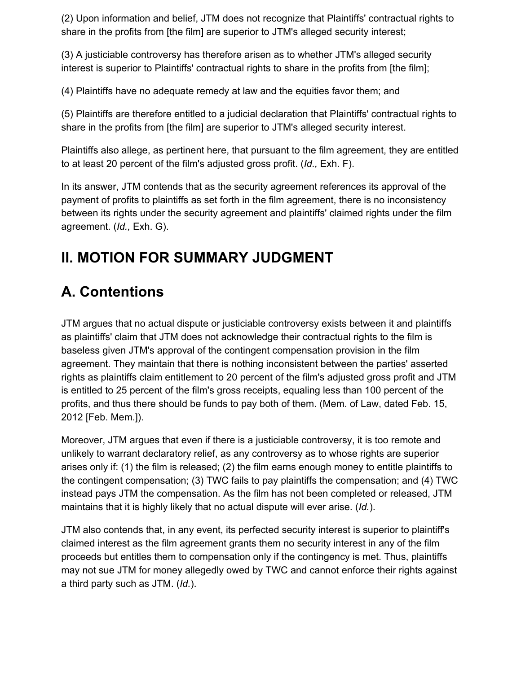(2) Upon information and belief, JTM does not recognize that Plaintiffs' contractual rights to share in the profits from [the film] are superior to JTM's alleged security interest;

(3) A justiciable controversy has therefore arisen as to whether JTM's alleged security interest is superior to Plaintiffs' contractual rights to share in the profits from [the film];

(4) Plaintiffs have no adequate remedy at law and the equities favor them; and

(5) Plaintiffs are therefore entitled to a judicial declaration that Plaintiffs' contractual rights to share in the profits from [the film] are superior to JTM's alleged security interest.

Plaintiffs also allege, as pertinent here, that pursuant to the film agreement, they are entitled to at least 20 percent of the film's adjusted gross profit. (*Id.,* Exh. F).

In its answer, JTM contends that as the security agreement references its approval of the payment of profits to plaintiffs as set forth in the film agreement, there is no inconsistency between its rights under the security agreement and plaintiffs' claimed rights under the film agreement. (*Id.,* Exh. G).

# **II. MOTION FOR SUMMARY JUDGMENT**

# **A. Contentions**

JTM argues that no actual dispute or justiciable controversy exists between it and plaintiffs as plaintiffs' claim that JTM does not acknowledge their contractual rights to the film is baseless given JTM's approval of the contingent compensation provision in the film agreement. They maintain that there is nothing inconsistent between the parties' asserted rights as plaintiffs claim entitlement to 20 percent of the film's adjusted gross profit and JTM is entitled to 25 percent of the film's gross receipts, equaling less than 100 percent of the profits, and thus there should be funds to pay both of them. (Mem. of Law, dated Feb. 15, 2012 [Feb. Mem.]).

Moreover, JTM argues that even if there is a justiciable controversy, it is too remote and unlikely to warrant declaratory relief, as any controversy as to whose rights are superior arises only if: (1) the film is released; (2) the film earns enough money to entitle plaintiffs to the contingent compensation; (3) TWC fails to pay plaintiffs the compensation; and (4) TWC instead pays JTM the compensation. As the film has not been completed or released, JTM maintains that it is highly likely that no actual dispute will ever arise. (*Id.*).

JTM also contends that, in any event, its perfected security interest is superior to plaintiff's claimed interest as the film agreement grants them no security interest in any of the film proceeds but entitles them to compensation only if the contingency is met. Thus, plaintiffs may not sue JTM for money allegedly owed by TWC and cannot enforce their rights against a third party such as JTM. (*Id.*).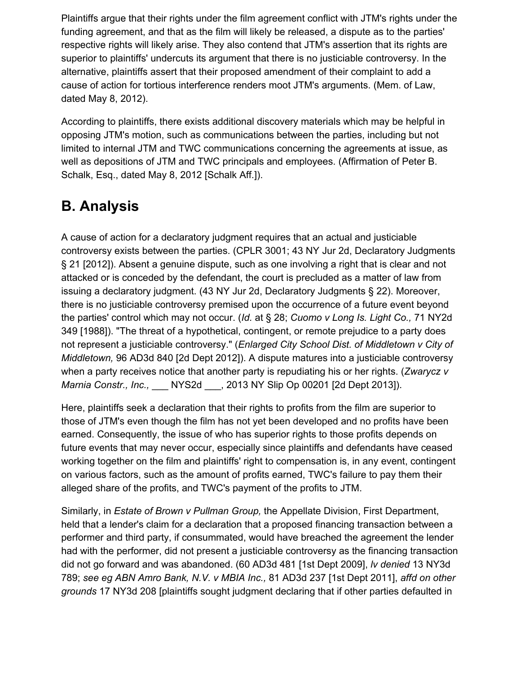Plaintiffs argue that their rights under the film agreement conflict with JTM's rights under the funding agreement, and that as the film will likely be released, a dispute as to the parties' respective rights will likely arise. They also contend that JTM's assertion that its rights are superior to plaintiffs' undercuts its argument that there is no justiciable controversy. In the alternative, plaintiffs assert that their proposed amendment of their complaint to add a cause of action for tortious interference renders moot JTM's arguments. (Mem. of Law, dated May 8, 2012).

According to plaintiffs, there exists additional discovery materials which may be helpful in opposing JTM's motion, such as communications between the parties, including but not limited to internal JTM and TWC communications concerning the agreements at issue, as well as depositions of JTM and TWC principals and employees. (Affirmation of Peter B. Schalk, Esq., dated May 8, 2012 [Schalk Aff.]).

## **B. Analysis**

A cause of action for a declaratory judgment requires that an actual and justiciable controversy exists between the parties. (CPLR 3001; 43 NY Jur 2d, Declaratory Judgments § 21 [2012]). Absent a genuine dispute, such as one involving a right that is clear and not attacked or is conceded by the defendant, the court is precluded as a matter of law from issuing a declaratory judgment. (43 NY Jur 2d, Declaratory Judgments § 22). Moreover, there is no justiciable controversy premised upon the occurrence of a future event beyond the parties' control which may not occur. (*Id.* at § 28; *Cuomo v Long Is. Light Co.,* 71 NY2d 349 [1988]). "The threat of a hypothetical, contingent, or remote prejudice to a party does not represent a justiciable controversy." (*Enlarged City School Dist. of Middletown v City of Middletown,* 96 AD3d 840 [2d Dept 2012]). A dispute matures into a justiciable controversy when a party receives notice that another party is repudiating his or her rights. (*Zwarycz v Marnia Constr., Inc.,* \_\_\_ NYS2d \_\_\_, 2013 NY Slip Op 00201 [2d Dept 2013]).

Here, plaintiffs seek a declaration that their rights to profits from the film are superior to those of JTM's even though the film has not yet been developed and no profits have been earned. Consequently, the issue of who has superior rights to those profits depends on future events that may never occur, especially since plaintiffs and defendants have ceased working together on the film and plaintiffs' right to compensation is, in any event, contingent on various factors, such as the amount of profits earned, TWC's failure to pay them their alleged share of the profits, and TWC's payment of the profits to JTM.

Similarly, in *Estate of Brown v Pullman Group,* the Appellate Division, First Department, held that a lender's claim for a declaration that a proposed financing transaction between a performer and third party, if consummated, would have breached the agreement the lender had with the performer, did not present a justiciable controversy as the financing transaction did not go forward and was abandoned. (60 AD3d 481 [1st Dept 2009], *lv denied* 13 NY3d 789; *see eg ABN Amro Bank, N.V. v MBIA Inc.,* 81 AD3d 237 [1st Dept 2011], *affd on other grounds* 17 NY3d 208 [plaintiffs sought judgment declaring that if other parties defaulted in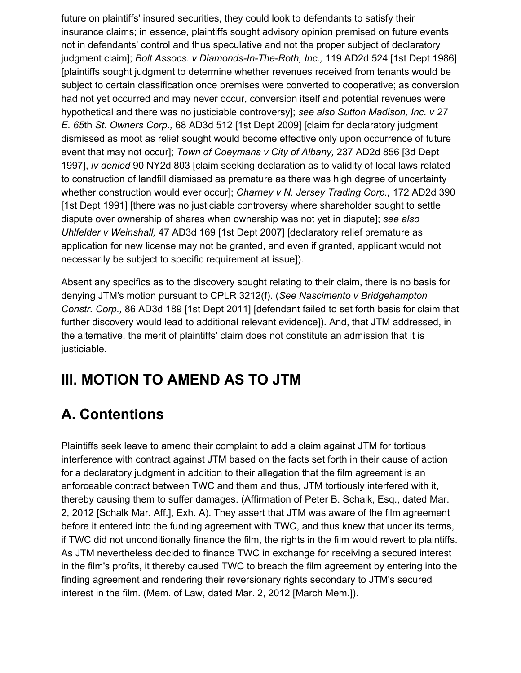future on plaintiffs' insured securities, they could look to defendants to satisfy their insurance claims; in essence, plaintiffs sought advisory opinion premised on future events not in defendants' control and thus speculative and not the proper subject of declaratory judgment claim]; *Bolt Assocs. v Diamonds-In-The-Roth, Inc.,* 119 AD2d 524 [1st Dept 1986] [plaintiffs sought judgment to determine whether revenues received from tenants would be subject to certain classification once premises were converted to cooperative; as conversion had not yet occurred and may never occur, conversion itself and potential revenues were hypothetical and there was no justiciable controversy]; *see also Sutton Madison, Inc. v 27 E. 65*th *St. Owners Corp.,* 68 AD3d 512 [1st Dept 2009] [claim for declaratory judgment dismissed as moot as relief sought would become effective only upon occurrence of future event that may not occur]; *Town of Coeymans v City of Albany,* 237 AD2d 856 [3d Dept 1997], *lv denied* 90 NY2d 803 [claim seeking declaration as to validity of local laws related to construction of landfill dismissed as premature as there was high degree of uncertainty whether construction would ever occur]; *Charney v N. Jersey Trading Corp.,* 172 AD2d 390 [1st Dept 1991] [there was no justiciable controversy where shareholder sought to settle dispute over ownership of shares when ownership was not yet in dispute]; *see also Uhlfelder v Weinshall,* 47 AD3d 169 [1st Dept 2007] [declaratory relief premature as application for new license may not be granted, and even if granted, applicant would not necessarily be subject to specific requirement at issue]).

Absent any specifics as to the discovery sought relating to their claim, there is no basis for denying JTM's motion pursuant to CPLR 3212(f). (*See Nascimento v Bridgehampton Constr. Corp.,* 86 AD3d 189 [1st Dept 2011] [defendant failed to set forth basis for claim that further discovery would lead to additional relevant evidence]). And, that JTM addressed, in the alternative, the merit of plaintiffs' claim does not constitute an admission that it is justiciable.

## **III. MOTION TO AMEND AS TO JTM**

# **A. Contentions**

Plaintiffs seek leave to amend their complaint to add a claim against JTM for tortious interference with contract against JTM based on the facts set forth in their cause of action for a declaratory judgment in addition to their allegation that the film agreement is an enforceable contract between TWC and them and thus, JTM tortiously interfered with it, thereby causing them to suffer damages. (Affirmation of Peter B. Schalk, Esq., dated Mar. 2, 2012 [Schalk Mar. Aff.], Exh. A). They assert that JTM was aware of the film agreement before it entered into the funding agreement with TWC, and thus knew that under its terms, if TWC did not unconditionally finance the film, the rights in the film would revert to plaintiffs. As JTM nevertheless decided to finance TWC in exchange for receiving a secured interest in the film's profits, it thereby caused TWC to breach the film agreement by entering into the finding agreement and rendering their reversionary rights secondary to JTM's secured interest in the film. (Mem. of Law, dated Mar. 2, 2012 [March Mem.]).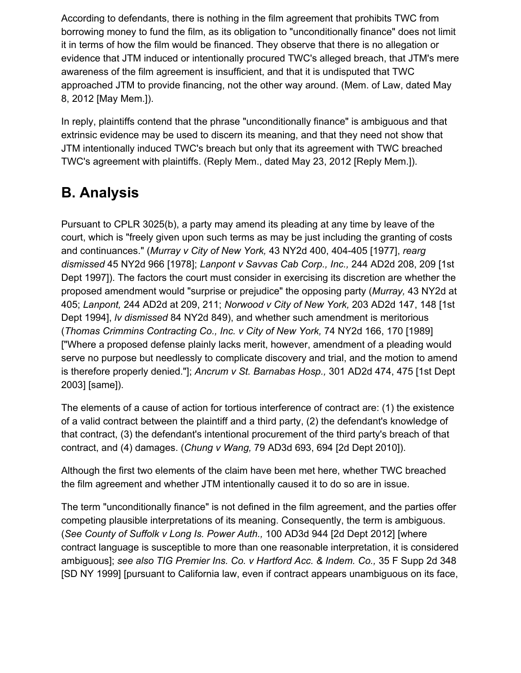According to defendants, there is nothing in the film agreement that prohibits TWC from borrowing money to fund the film, as its obligation to "unconditionally finance" does not limit it in terms of how the film would be financed. They observe that there is no allegation or evidence that JTM induced or intentionally procured TWC's alleged breach, that JTM's mere awareness of the film agreement is insufficient, and that it is undisputed that TWC approached JTM to provide financing, not the other way around. (Mem. of Law, dated May 8, 2012 [May Mem.]).

In reply, plaintiffs contend that the phrase "unconditionally finance" is ambiguous and that extrinsic evidence may be used to discern its meaning, and that they need not show that JTM intentionally induced TWC's breach but only that its agreement with TWC breached TWC's agreement with plaintiffs. (Reply Mem., dated May 23, 2012 [Reply Mem.]).

# **B. Analysis**

Pursuant to CPLR 3025(b), a party may amend its pleading at any time by leave of the court, which is "freely given upon such terms as may be just including the granting of costs and continuances." (*Murray v City of New York,* 43 NY2d 400, 404-405 [1977], *rearg dismissed* 45 NY2d 966 [1978]; *Lanpont v Savvas Cab Corp., Inc.,* 244 AD2d 208, 209 [1st Dept 1997]). The factors the court must consider in exercising its discretion are whether the proposed amendment would "surprise or prejudice" the opposing party (*Murray,* 43 NY2d at 405; *Lanpont,* 244 AD2d at 209, 211; *Norwood v City of New York,* 203 AD2d 147, 148 [1st Dept 1994], *lv dismissed* 84 NY2d 849), and whether such amendment is meritorious (*Thomas Crimmins Contracting Co., Inc. v City of New York,* 74 NY2d 166, 170 [1989] ["Where a proposed defense plainly lacks merit, however, amendment of a pleading would serve no purpose but needlessly to complicate discovery and trial, and the motion to amend is therefore properly denied."]; *Ancrum v St. Barnabas Hosp.,* 301 AD2d 474, 475 [1st Dept 2003] [same]).

The elements of a cause of action for tortious interference of contract are: (1) the existence of a valid contract between the plaintiff and a third party, (2) the defendant's knowledge of that contract, (3) the defendant's intentional procurement of the third party's breach of that contract, and (4) damages. (*Chung v Wang,* 79 AD3d 693, 694 [2d Dept 2010]).

Although the first two elements of the claim have been met here, whether TWC breached the film agreement and whether JTM intentionally caused it to do so are in issue.

The term "unconditionally finance" is not defined in the film agreement, and the parties offer competing plausible interpretations of its meaning. Consequently, the term is ambiguous. (*See County of Suffolk v Long Is. Power Auth.,* 100 AD3d 944 [2d Dept 2012] [where contract language is susceptible to more than one reasonable interpretation, it is considered ambiguous]; *see also TIG Premier Ins. Co. v Hartford Acc. & Indem. Co.,* 35 F Supp 2d 348 [SD NY 1999] [pursuant to California law, even if contract appears unambiguous on its face,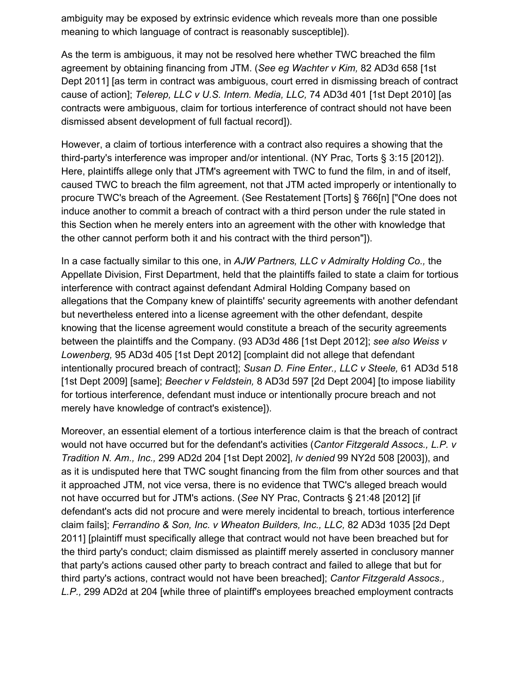ambiguity may be exposed by extrinsic evidence which reveals more than one possible meaning to which language of contract is reasonably susceptible]).

As the term is ambiguous, it may not be resolved here whether TWC breached the film agreement by obtaining financing from JTM. (*See eg Wachter v Kim,* 82 AD3d 658 [1st Dept 2011] [as term in contract was ambiguous, court erred in dismissing breach of contract cause of action]; *Telerep, LLC v U.S. Intern. Media, LLC,* 74 AD3d 401 [1st Dept 2010] [as contracts were ambiguous, claim for tortious interference of contract should not have been dismissed absent development of full factual record]).

However, a claim of tortious interference with a contract also requires a showing that the third-party's interference was improper and/or intentional. (NY Prac, Torts § 3:15 [2012]). Here, plaintiffs allege only that JTM's agreement with TWC to fund the film, in and of itself, caused TWC to breach the film agreement, not that JTM acted improperly or intentionally to procure TWC's breach of the Agreement. (See Restatement [Torts] § 766[n] ["One does not induce another to commit a breach of contract with a third person under the rule stated in this Section when he merely enters into an agreement with the other with knowledge that the other cannot perform both it and his contract with the third person"]).

In a case factually similar to this one, in *AJW Partners, LLC v Admiralty Holding Co.,* the Appellate Division, First Department, held that the plaintiffs failed to state a claim for tortious interference with contract against defendant Admiral Holding Company based on allegations that the Company knew of plaintiffs' security agreements with another defendant but nevertheless entered into a license agreement with the other defendant, despite knowing that the license agreement would constitute a breach of the security agreements between the plaintiffs and the Company. (93 AD3d 486 [1st Dept 2012]; *see also Weiss v Lowenberg,* 95 AD3d 405 [1st Dept 2012] [complaint did not allege that defendant intentionally procured breach of contract]; *Susan D. Fine Enter., LLC v Steele,* 61 AD3d 518 [1st Dept 2009] [same]; *Beecher v Feldstein,* 8 AD3d 597 [2d Dept 2004] [to impose liability for tortious interference, defendant must induce or intentionally procure breach and not merely have knowledge of contract's existence]).

Moreover, an essential element of a tortious interference claim is that the breach of contract would not have occurred but for the defendant's activities (*Cantor Fitzgerald Assocs., L.P. v Tradition N. Am., Inc.,* 299 AD2d 204 [1st Dept 2002], *lv denied* 99 NY2d 508 [2003]), and as it is undisputed here that TWC sought financing from the film from other sources and that it approached JTM, not vice versa, there is no evidence that TWC's alleged breach would not have occurred but for JTM's actions. (*See* NY Prac, Contracts § 21:48 [2012] [if defendant's acts did not procure and were merely incidental to breach, tortious interference claim fails]; *Ferrandino & Son, Inc. v Wheaton Builders, Inc., LLC,* 82 AD3d 1035 [2d Dept 2011] [plaintiff must specifically allege that contract would not have been breached but for the third party's conduct; claim dismissed as plaintiff merely asserted in conclusory manner that party's actions caused other party to breach contract and failed to allege that but for third party's actions, contract would not have been breached]; *Cantor Fitzgerald Assocs., L.P.,* 299 AD2d at 204 [while three of plaintiff's employees breached employment contracts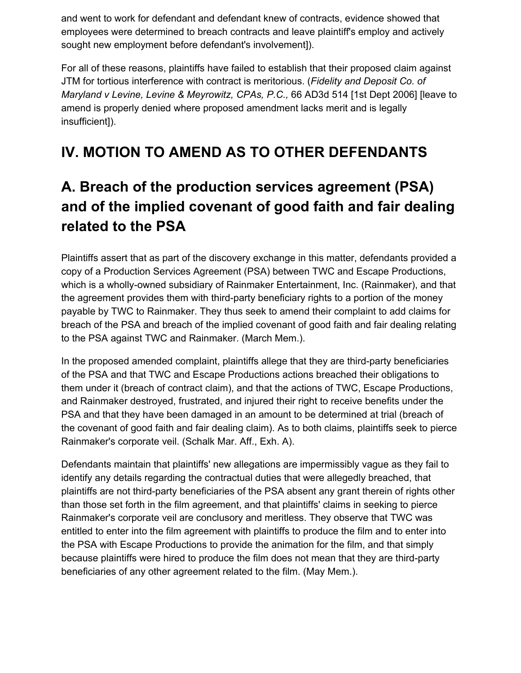and went to work for defendant and defendant knew of contracts, evidence showed that employees were determined to breach contracts and leave plaintiff's employ and actively sought new employment before defendant's involvement]).

For all of these reasons, plaintiffs have failed to establish that their proposed claim against JTM for tortious interference with contract is meritorious. (*Fidelity and Deposit Co. of Maryland v Levine, Levine & Meyrowitz, CPAs, P.C.,* 66 AD3d 514 [1st Dept 2006] [leave to amend is properly denied where proposed amendment lacks merit and is legally insufficient]).

# **IV. MOTION TO AMEND AS TO OTHER DEFENDANTS**

# **A. Breach of the production services agreement (PSA) and of the implied covenant of good faith and fair dealing related to the PSA**

Plaintiffs assert that as part of the discovery exchange in this matter, defendants provided a copy of a Production Services Agreement (PSA) between TWC and Escape Productions, which is a wholly-owned subsidiary of Rainmaker Entertainment, Inc. (Rainmaker), and that the agreement provides them with third-party beneficiary rights to a portion of the money payable by TWC to Rainmaker. They thus seek to amend their complaint to add claims for breach of the PSA and breach of the implied covenant of good faith and fair dealing relating to the PSA against TWC and Rainmaker. (March Mem.).

In the proposed amended complaint, plaintiffs allege that they are third-party beneficiaries of the PSA and that TWC and Escape Productions actions breached their obligations to them under it (breach of contract claim), and that the actions of TWC, Escape Productions, and Rainmaker destroyed, frustrated, and injured their right to receive benefits under the PSA and that they have been damaged in an amount to be determined at trial (breach of the covenant of good faith and fair dealing claim). As to both claims, plaintiffs seek to pierce Rainmaker's corporate veil. (Schalk Mar. Aff., Exh. A).

Defendants maintain that plaintiffs' new allegations are impermissibly vague as they fail to identify any details regarding the contractual duties that were allegedly breached, that plaintiffs are not third-party beneficiaries of the PSA absent any grant therein of rights other than those set forth in the film agreement, and that plaintiffs' claims in seeking to pierce Rainmaker's corporate veil are conclusory and meritless. They observe that TWC was entitled to enter into the film agreement with plaintiffs to produce the film and to enter into the PSA with Escape Productions to provide the animation for the film, and that simply because plaintiffs were hired to produce the film does not mean that they are third-party beneficiaries of any other agreement related to the film. (May Mem.).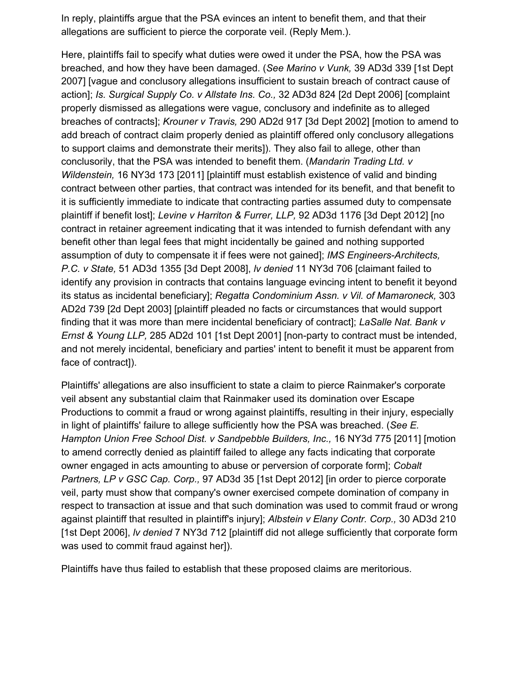In reply, plaintiffs argue that the PSA evinces an intent to benefit them, and that their allegations are sufficient to pierce the corporate veil. (Reply Mem.).

Here, plaintiffs fail to specify what duties were owed it under the PSA, how the PSA was breached, and how they have been damaged. (*See Marino v Vunk,* 39 AD3d 339 [1st Dept 2007] [vague and conclusory allegations insufficient to sustain breach of contract cause of action]; *Is. Surgical Supply Co. v Allstate Ins. Co.,* 32 AD3d 824 [2d Dept 2006] [complaint properly dismissed as allegations were vague, conclusory and indefinite as to alleged breaches of contracts]; *Krouner v Travis,* 290 AD2d 917 [3d Dept 2002] [motion to amend to add breach of contract claim properly denied as plaintiff offered only conclusory allegations to support claims and demonstrate their merits]). They also fail to allege, other than conclusorily, that the PSA was intended to benefit them. (*Mandarin Trading Ltd. v Wildenstein,* 16 NY3d 173 [2011] [plaintiff must establish existence of valid and binding contract between other parties, that contract was intended for its benefit, and that benefit to it is sufficiently immediate to indicate that contracting parties assumed duty to compensate plaintiff if benefit lost]; *Levine v Harriton & Furrer, LLP,* 92 AD3d 1176 [3d Dept 2012] [no contract in retainer agreement indicating that it was intended to furnish defendant with any benefit other than legal fees that might incidentally be gained and nothing supported assumption of duty to compensate it if fees were not gained]; *IMS Engineers-Architects, P.C. v State,* 51 AD3d 1355 [3d Dept 2008], *lv denied* 11 NY3d 706 [claimant failed to identify any provision in contracts that contains language evincing intent to benefit it beyond its status as incidental beneficiary]; *Regatta Condominium Assn. v Vil. of Mamaroneck,* 303 AD2d 739 [2d Dept 2003] [plaintiff pleaded no facts or circumstances that would support finding that it was more than mere incidental beneficiary of contract]; *LaSalle Nat. Bank v Ernst & Young LLP,* 285 AD2d 101 [1st Dept 2001] [non-party to contract must be intended, and not merely incidental, beneficiary and parties' intent to benefit it must be apparent from face of contract]).

Plaintiffs' allegations are also insufficient to state a claim to pierce Rainmaker's corporate veil absent any substantial claim that Rainmaker used its domination over Escape Productions to commit a fraud or wrong against plaintiffs, resulting in their injury, especially in light of plaintiffs' failure to allege sufficiently how the PSA was breached. (*See E. Hampton Union Free School Dist. v Sandpebble Builders, Inc.,* 16 NY3d 775 [2011] [motion to amend correctly denied as plaintiff failed to allege any facts indicating that corporate owner engaged in acts amounting to abuse or perversion of corporate form]; *Cobalt Partners, LP v GSC Cap. Corp.,* 97 AD3d 35 [1st Dept 2012] [in order to pierce corporate veil, party must show that company's owner exercised compete domination of company in respect to transaction at issue and that such domination was used to commit fraud or wrong against plaintiff that resulted in plaintiff's injury]; *Albstein v Elany Contr. Corp.,* 30 AD3d 210 [1st Dept 2006], *lv denied* 7 NY3d 712 [plaintiff did not allege sufficiently that corporate form was used to commit fraud against her]).

Plaintiffs have thus failed to establish that these proposed claims are meritorious.